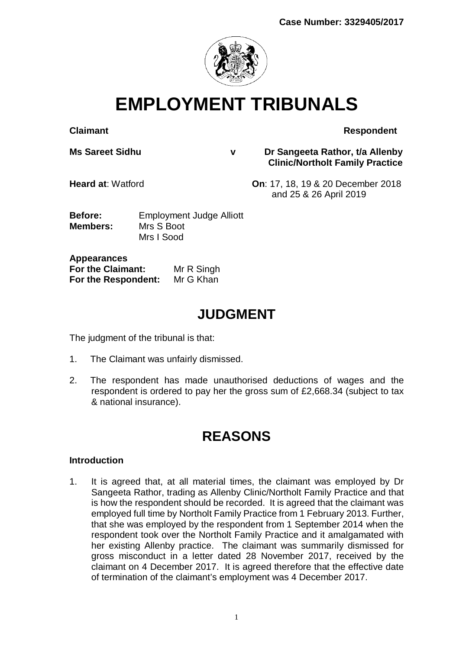

**EMPLOYMENT TRIBUNALS**

**Claimant Respondent** 

**Ms Sareet Sidhu v Dr Sangeeta Rathor, t/a Allenby Clinic/Northolt Family Practice** 

**Heard at**: Watford **On**: 17, 18, 19 & 20 December 2018 and 25 & 26 April 2019

**Before:** Employment Judge Alliott **Members:** Mrs S Boot Mrs I Sood

**Appearances For the Claimant:** Mr R Singh **For the Respondent:** Mr G Khan

# **JUDGMENT**

The judgment of the tribunal is that:

- 1. The Claimant was unfairly dismissed.
- 2. The respondent has made unauthorised deductions of wages and the respondent is ordered to pay her the gross sum of £2,668.34 (subject to tax & national insurance).

# **REASONS**

## **Introduction**

1. It is agreed that, at all material times, the claimant was employed by Dr Sangeeta Rathor, trading as Allenby Clinic/Northolt Family Practice and that is how the respondent should be recorded. It is agreed that the claimant was employed full time by Northolt Family Practice from 1 February 2013. Further, that she was employed by the respondent from 1 September 2014 when the respondent took over the Northolt Family Practice and it amalgamated with her existing Allenby practice. The claimant was summarily dismissed for gross misconduct in a letter dated 28 November 2017, received by the claimant on 4 December 2017. It is agreed therefore that the effective date of termination of the claimant's employment was 4 December 2017.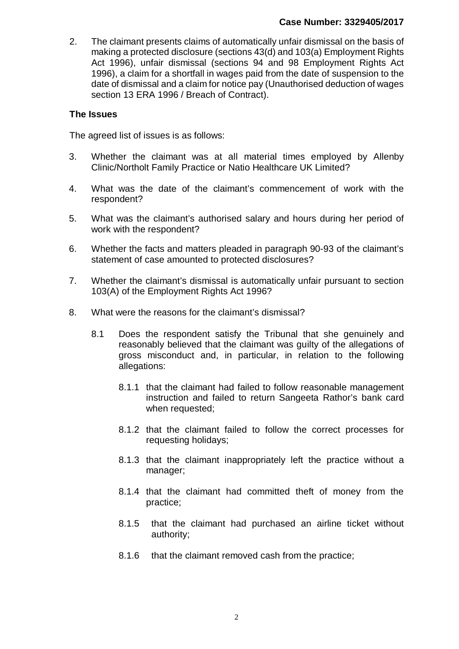2. The claimant presents claims of automatically unfair dismissal on the basis of making a protected disclosure (sections 43(d) and 103(a) Employment Rights Act 1996), unfair dismissal (sections 94 and 98 Employment Rights Act 1996), a claim for a shortfall in wages paid from the date of suspension to the date of dismissal and a claim for notice pay (Unauthorised deduction of wages section 13 ERA 1996 / Breach of Contract).

## **The Issues**

The agreed list of issues is as follows:

- 3. Whether the claimant was at all material times employed by Allenby Clinic/Northolt Family Practice or Natio Healthcare UK Limited?
- 4. What was the date of the claimant's commencement of work with the respondent?
- 5. What was the claimant's authorised salary and hours during her period of work with the respondent?
- 6. Whether the facts and matters pleaded in paragraph 90-93 of the claimant's statement of case amounted to protected disclosures?
- 7. Whether the claimant's dismissal is automatically unfair pursuant to section 103(A) of the Employment Rights Act 1996?
- 8. What were the reasons for the claimant's dismissal?
	- 8.1 Does the respondent satisfy the Tribunal that she genuinely and reasonably believed that the claimant was guilty of the allegations of gross misconduct and, in particular, in relation to the following allegations:
		- 8.1.1 that the claimant had failed to follow reasonable management instruction and failed to return Sangeeta Rathor's bank card when requested;
		- 8.1.2 that the claimant failed to follow the correct processes for requesting holidays;
		- 8.1.3 that the claimant inappropriately left the practice without a manager;
		- 8.1.4 that the claimant had committed theft of money from the practice;
		- 8.1.5 that the claimant had purchased an airline ticket without authority;
		- 8.1.6 that the claimant removed cash from the practice;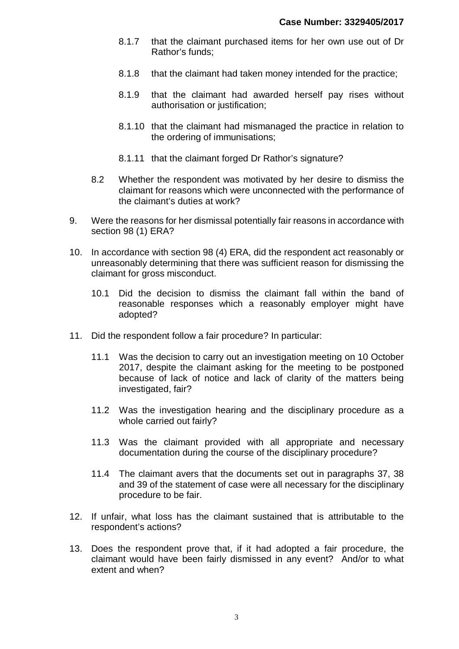- 8.1.7 that the claimant purchased items for her own use out of Dr Rathor's funds;
- 8.1.8 that the claimant had taken money intended for the practice;
- 8.1.9 that the claimant had awarded herself pay rises without authorisation or justification;
- 8.1.10 that the claimant had mismanaged the practice in relation to the ordering of immunisations;
- 8.1.11 that the claimant forged Dr Rathor's signature?
- 8.2 Whether the respondent was motivated by her desire to dismiss the claimant for reasons which were unconnected with the performance of the claimant's duties at work?
- 9. Were the reasons for her dismissal potentially fair reasons in accordance with section 98 (1) ERA?
- 10. In accordance with section 98 (4) ERA, did the respondent act reasonably or unreasonably determining that there was sufficient reason for dismissing the claimant for gross misconduct.
	- 10.1 Did the decision to dismiss the claimant fall within the band of reasonable responses which a reasonably employer might have adopted?
- 11. Did the respondent follow a fair procedure? In particular:
	- 11.1 Was the decision to carry out an investigation meeting on 10 October 2017, despite the claimant asking for the meeting to be postponed because of lack of notice and lack of clarity of the matters being investigated, fair?
	- 11.2 Was the investigation hearing and the disciplinary procedure as a whole carried out fairly?
	- 11.3 Was the claimant provided with all appropriate and necessary documentation during the course of the disciplinary procedure?
	- 11.4 The claimant avers that the documents set out in paragraphs 37, 38 and 39 of the statement of case were all necessary for the disciplinary procedure to be fair.
- 12. If unfair, what loss has the claimant sustained that is attributable to the respondent's actions?
- 13. Does the respondent prove that, if it had adopted a fair procedure, the claimant would have been fairly dismissed in any event? And/or to what extent and when?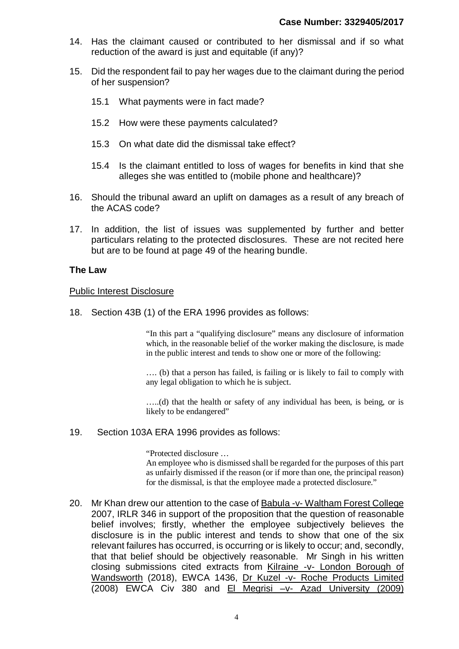- 14. Has the claimant caused or contributed to her dismissal and if so what reduction of the award is just and equitable (if any)?
- 15. Did the respondent fail to pay her wages due to the claimant during the period of her suspension?
	- 15.1 What payments were in fact made?
	- 15.2 How were these payments calculated?
	- 15.3 On what date did the dismissal take effect?
	- 15.4 Is the claimant entitled to loss of wages for benefits in kind that she alleges she was entitled to (mobile phone and healthcare)?
- 16. Should the tribunal award an uplift on damages as a result of any breach of the ACAS code?
- 17. In addition, the list of issues was supplemented by further and better particulars relating to the protected disclosures. These are not recited here but are to be found at page 49 of the hearing bundle.

#### **The Law**

#### Public Interest Disclosure

18. Section 43B (1) of the ERA 1996 provides as follows:

"In this part a "qualifying disclosure" means any disclosure of information which, in the reasonable belief of the worker making the disclosure, is made in the public interest and tends to show one or more of the following:

…. (b) that a person has failed, is failing or is likely to fail to comply with any legal obligation to which he is subject.

…..(d) that the health or safety of any individual has been, is being, or is likely to be endangered"

#### 19. Section 103A ERA 1996 provides as follows:

"Protected disclosure …

An employee who is dismissed shall be regarded for the purposes of this part as unfairly dismissed if the reason (or if more than one, the principal reason) for the dismissal, is that the employee made a protected disclosure."

20. Mr Khan drew our attention to the case of Babula -v- Waltham Forest College 2007, IRLR 346 in support of the proposition that the question of reasonable belief involves; firstly, whether the employee subjectively believes the disclosure is in the public interest and tends to show that one of the six relevant failures has occurred, is occurring or is likely to occur; and, secondly, that that belief should be objectively reasonable. Mr Singh in his written closing submissions cited extracts from Kilraine -v- London Borough of Wandsworth (2018), EWCA 1436, Dr Kuzel -v- Roche Products Limited (2008) EWCA Civ 380 and El Megrisi –v- Azad University (2009)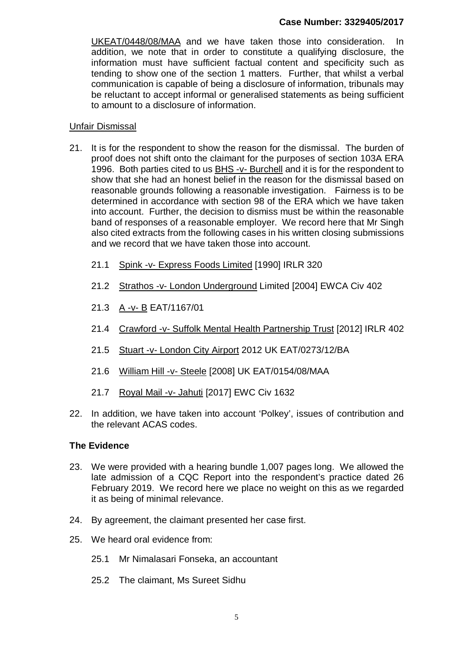## **Case Number: 3329405/2017**

UKEAT/0448/08/MAA and we have taken those into consideration. In addition, we note that in order to constitute a qualifying disclosure, the information must have sufficient factual content and specificity such as tending to show one of the section 1 matters. Further, that whilst a verbal communication is capable of being a disclosure of information, tribunals may be reluctant to accept informal or generalised statements as being sufficient to amount to a disclosure of information.

#### Unfair Dismissal

- 21. It is for the respondent to show the reason for the dismissal. The burden of proof does not shift onto the claimant for the purposes of section 103A ERA 1996. Both parties cited to us BHS -v- Burchell and it is for the respondent to show that she had an honest belief in the reason for the dismissal based on reasonable grounds following a reasonable investigation. Fairness is to be determined in accordance with section 98 of the ERA which we have taken into account. Further, the decision to dismiss must be within the reasonable band of responses of a reasonable employer. We record here that Mr Singh also cited extracts from the following cases in his written closing submissions and we record that we have taken those into account.
	- 21.1 Spink -v- Express Foods Limited [1990] IRLR 320
	- 21.2 Strathos -v- London Underground Limited [2004] EWCA Civ 402
	- 21.3 A -v- B EAT/1167/01
	- 21.4 Crawford -v- Suffolk Mental Health Partnership Trust [2012] IRLR 402
	- 21.5 Stuart -v- London City Airport 2012 UK EAT/0273/12/BA
	- 21.6 William Hill -v- Steele [2008] UK EAT/0154/08/MAA
	- 21.7 Royal Mail -v- Jahuti [2017] EWC Civ 1632
- 22. In addition, we have taken into account 'Polkey', issues of contribution and the relevant ACAS codes.

## **The Evidence**

- 23. We were provided with a hearing bundle 1,007 pages long. We allowed the late admission of a CQC Report into the respondent's practice dated 26 February 2019. We record here we place no weight on this as we regarded it as being of minimal relevance.
- 24. By agreement, the claimant presented her case first.
- 25. We heard oral evidence from:
	- 25.1 Mr Nimalasari Fonseka, an accountant
	- 25.2 The claimant, Ms Sureet Sidhu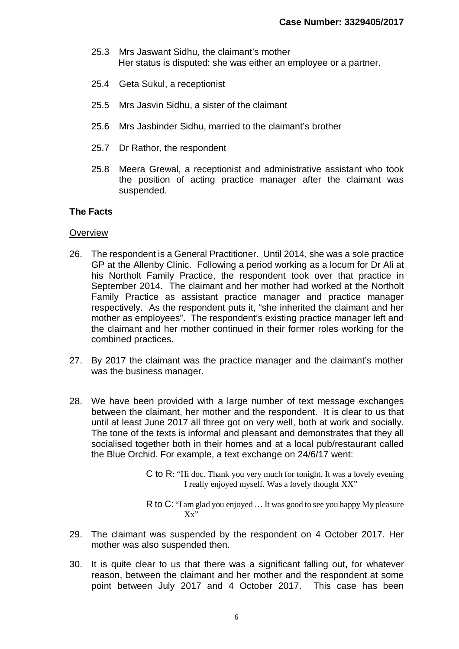- 25.3 Mrs Jaswant Sidhu, the claimant's mother Her status is disputed: she was either an employee or a partner.
- 25.4 Geta Sukul, a receptionist
- 25.5 Mrs Jasvin Sidhu, a sister of the claimant
- 25.6 Mrs Jasbinder Sidhu, married to the claimant's brother
- 25.7 Dr Rathor, the respondent
- 25.8 Meera Grewal, a receptionist and administrative assistant who took the position of acting practice manager after the claimant was suspended.

## **The Facts**

#### **Overview**

- 26. The respondent is a General Practitioner. Until 2014, she was a sole practice GP at the Allenby Clinic. Following a period working as a locum for Dr Ali at his Northolt Family Practice, the respondent took over that practice in September 2014. The claimant and her mother had worked at the Northolt Family Practice as assistant practice manager and practice manager respectively. As the respondent puts it, "she inherited the claimant and her mother as employees". The respondent's existing practice manager left and the claimant and her mother continued in their former roles working for the combined practices.
- 27. By 2017 the claimant was the practice manager and the claimant's mother was the business manager.
- 28. We have been provided with a large number of text message exchanges between the claimant, her mother and the respondent. It is clear to us that until at least June 2017 all three got on very well, both at work and socially. The tone of the texts is informal and pleasant and demonstrates that they all socialised together both in their homes and at a local pub/restaurant called the Blue Orchid. For example, a text exchange on 24/6/17 went:
	- C to R: "Hi doc. Thank you very much for tonight. It was a lovely evening I really enjoyed myself. Was a lovely thought XX"

R to C: "I am glad you enjoyed … It was good to see you happy My pleasure Xx"

- 29. The claimant was suspended by the respondent on 4 October 2017. Her mother was also suspended then.
- 30. It is quite clear to us that there was a significant falling out, for whatever reason, between the claimant and her mother and the respondent at some point between July 2017 and 4 October 2017. This case has been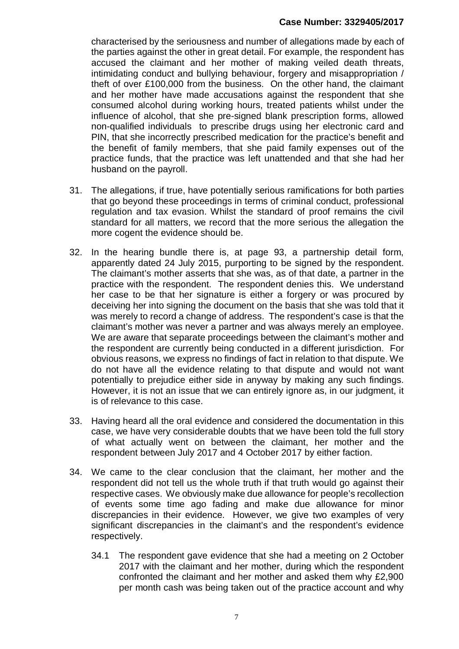characterised by the seriousness and number of allegations made by each of the parties against the other in great detail. For example, the respondent has accused the claimant and her mother of making veiled death threats, intimidating conduct and bullying behaviour, forgery and misappropriation / theft of over £100,000 from the business. On the other hand, the claimant and her mother have made accusations against the respondent that she consumed alcohol during working hours, treated patients whilst under the influence of alcohol, that she pre-signed blank prescription forms, allowed non-qualified individuals to prescribe drugs using her electronic card and PIN, that she incorrectly prescribed medication for the practice's benefit and the benefit of family members, that she paid family expenses out of the practice funds, that the practice was left unattended and that she had her husband on the payroll.

- 31. The allegations, if true, have potentially serious ramifications for both parties that go beyond these proceedings in terms of criminal conduct, professional regulation and tax evasion. Whilst the standard of proof remains the civil standard for all matters, we record that the more serious the allegation the more cogent the evidence should be.
- 32. In the hearing bundle there is, at page 93, a partnership detail form, apparently dated 24 July 2015, purporting to be signed by the respondent. The claimant's mother asserts that she was, as of that date, a partner in the practice with the respondent. The respondent denies this. We understand her case to be that her signature is either a forgery or was procured by deceiving her into signing the document on the basis that she was told that it was merely to record a change of address. The respondent's case is that the claimant's mother was never a partner and was always merely an employee. We are aware that separate proceedings between the claimant's mother and the respondent are currently being conducted in a different jurisdiction. For obvious reasons, we express no findings of fact in relation to that dispute. We do not have all the evidence relating to that dispute and would not want potentially to prejudice either side in anyway by making any such findings. However, it is not an issue that we can entirely ignore as, in our judgment, it is of relevance to this case.
- 33. Having heard all the oral evidence and considered the documentation in this case, we have very considerable doubts that we have been told the full story of what actually went on between the claimant, her mother and the respondent between July 2017 and 4 October 2017 by either faction.
- 34. We came to the clear conclusion that the claimant, her mother and the respondent did not tell us the whole truth if that truth would go against their respective cases. We obviously make due allowance for people's recollection of events some time ago fading and make due allowance for minor discrepancies in their evidence. However, we give two examples of very significant discrepancies in the claimant's and the respondent's evidence respectively.
	- 34.1 The respondent gave evidence that she had a meeting on 2 October 2017 with the claimant and her mother, during which the respondent confronted the claimant and her mother and asked them why £2,900 per month cash was being taken out of the practice account and why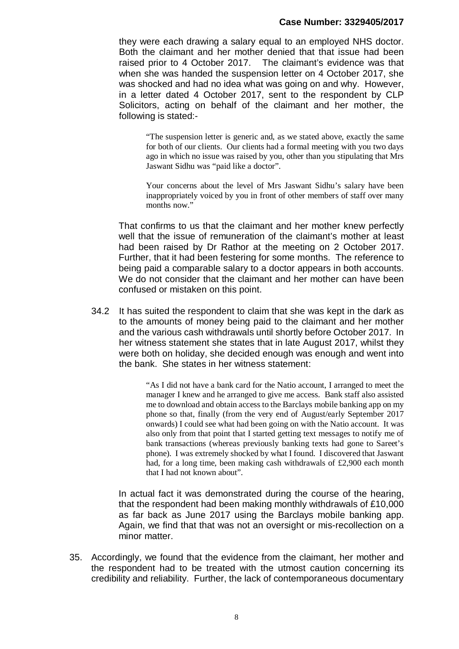### **Case Number: 3329405/2017**

they were each drawing a salary equal to an employed NHS doctor. Both the claimant and her mother denied that that issue had been raised prior to 4 October 2017. The claimant's evidence was that when she was handed the suspension letter on 4 October 2017, she was shocked and had no idea what was going on and why. However, in a letter dated 4 October 2017, sent to the respondent by CLP Solicitors, acting on behalf of the claimant and her mother, the following is stated:-

"The suspension letter is generic and, as we stated above, exactly the same for both of our clients. Our clients had a formal meeting with you two days ago in which no issue was raised by you, other than you stipulating that Mrs Jaswant Sidhu was "paid like a doctor".

Your concerns about the level of Mrs Jaswant Sidhu's salary have been inappropriately voiced by you in front of other members of staff over many months now."

That confirms to us that the claimant and her mother knew perfectly well that the issue of remuneration of the claimant's mother at least had been raised by Dr Rathor at the meeting on 2 October 2017. Further, that it had been festering for some months. The reference to being paid a comparable salary to a doctor appears in both accounts. We do not consider that the claimant and her mother can have been confused or mistaken on this point.

34.2 It has suited the respondent to claim that she was kept in the dark as to the amounts of money being paid to the claimant and her mother and the various cash withdrawals until shortly before October 2017. In her witness statement she states that in late August 2017, whilst they were both on holiday, she decided enough was enough and went into the bank. She states in her witness statement:

> "As I did not have a bank card for the Natio account, I arranged to meet the manager I knew and he arranged to give me access. Bank staff also assisted me to download and obtain access to the Barclays mobile banking app on my phone so that, finally (from the very end of August/early September 2017 onwards) I could see what had been going on with the Natio account. It was also only from that point that I started getting text messages to notify me of bank transactions (whereas previously banking texts had gone to Sareet's phone). I was extremely shocked by what I found. I discovered that Jaswant had, for a long time, been making cash withdrawals of £2,900 each month that I had not known about".

In actual fact it was demonstrated during the course of the hearing, that the respondent had been making monthly withdrawals of £10,000 as far back as June 2017 using the Barclays mobile banking app. Again, we find that that was not an oversight or mis-recollection on a minor matter.

35. Accordingly, we found that the evidence from the claimant, her mother and the respondent had to be treated with the utmost caution concerning its credibility and reliability. Further, the lack of contemporaneous documentary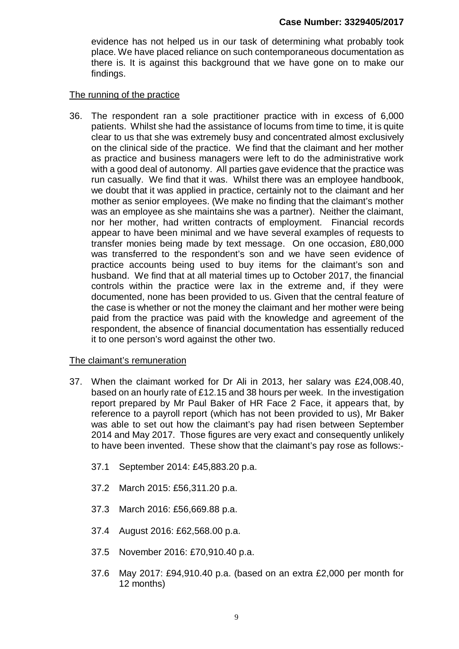evidence has not helped us in our task of determining what probably took place. We have placed reliance on such contemporaneous documentation as there is. It is against this background that we have gone on to make our findings.

### The running of the practice

36. The respondent ran a sole practitioner practice with in excess of 6,000 patients. Whilst she had the assistance of locums from time to time, it is quite clear to us that she was extremely busy and concentrated almost exclusively on the clinical side of the practice. We find that the claimant and her mother as practice and business managers were left to do the administrative work with a good deal of autonomy. All parties gave evidence that the practice was run casually. We find that it was. Whilst there was an employee handbook, we doubt that it was applied in practice, certainly not to the claimant and her mother as senior employees. (We make no finding that the claimant's mother was an employee as she maintains she was a partner). Neither the claimant, nor her mother, had written contracts of employment. Financial records appear to have been minimal and we have several examples of requests to transfer monies being made by text message. On one occasion, £80,000 was transferred to the respondent's son and we have seen evidence of practice accounts being used to buy items for the claimant's son and husband. We find that at all material times up to October 2017, the financial controls within the practice were lax in the extreme and, if they were documented, none has been provided to us. Given that the central feature of the case is whether or not the money the claimant and her mother were being paid from the practice was paid with the knowledge and agreement of the respondent, the absence of financial documentation has essentially reduced it to one person's word against the other two.

## The claimant's remuneration

- 37. When the claimant worked for Dr Ali in 2013, her salary was £24,008.40, based on an hourly rate of £12.15 and 38 hours per week. In the investigation report prepared by Mr Paul Baker of HR Face 2 Face, it appears that, by reference to a payroll report (which has not been provided to us), Mr Baker was able to set out how the claimant's pay had risen between September 2014 and May 2017. Those figures are very exact and consequently unlikely to have been invented. These show that the claimant's pay rose as follows:-
	- 37.1 September 2014: £45,883.20 p.a.
	- 37.2 March 2015: £56,311.20 p.a.
	- 37.3 March 2016: £56,669.88 p.a.
	- 37.4 August 2016: £62,568.00 p.a.
	- 37.5 November 2016: £70,910.40 p.a.
	- 37.6 May 2017: £94,910.40 p.a. (based on an extra £2,000 per month for 12 months)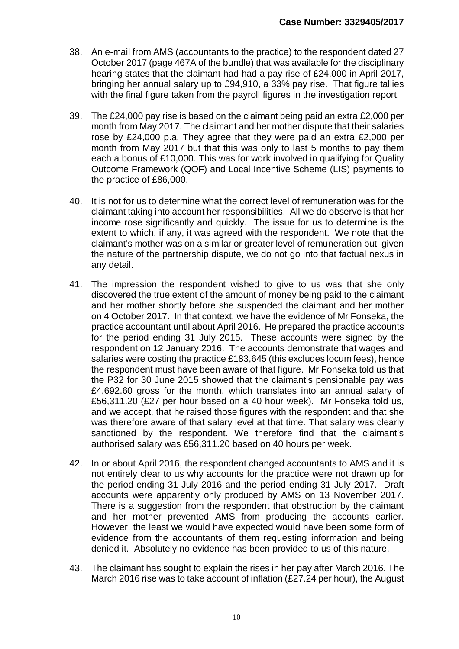- 38. An e-mail from AMS (accountants to the practice) to the respondent dated 27 October 2017 (page 467A of the bundle) that was available for the disciplinary hearing states that the claimant had had a pay rise of £24,000 in April 2017, bringing her annual salary up to £94,910, a 33% pay rise. That figure tallies with the final figure taken from the payroll figures in the investigation report.
- 39. The £24,000 pay rise is based on the claimant being paid an extra £2,000 per month from May 2017. The claimant and her mother dispute that their salaries rose by £24,000 p.a. They agree that they were paid an extra £2,000 per month from May 2017 but that this was only to last 5 months to pay them each a bonus of £10,000. This was for work involved in qualifying for Quality Outcome Framework (QOF) and Local Incentive Scheme (LIS) payments to the practice of £86,000.
- 40. It is not for us to determine what the correct level of remuneration was for the claimant taking into account her responsibilities. All we do observe is that her income rose significantly and quickly. The issue for us to determine is the extent to which, if any, it was agreed with the respondent. We note that the claimant's mother was on a similar or greater level of remuneration but, given the nature of the partnership dispute, we do not go into that factual nexus in any detail.
- 41. The impression the respondent wished to give to us was that she only discovered the true extent of the amount of money being paid to the claimant and her mother shortly before she suspended the claimant and her mother on 4 October 2017. In that context, we have the evidence of Mr Fonseka, the practice accountant until about April 2016. He prepared the practice accounts for the period ending 31 July 2015. These accounts were signed by the respondent on 12 January 2016. The accounts demonstrate that wages and salaries were costing the practice £183,645 (this excludes locum fees), hence the respondent must have been aware of that figure. Mr Fonseka told us that the P32 for 30 June 2015 showed that the claimant's pensionable pay was £4,692.60 gross for the month, which translates into an annual salary of £56,311.20 (£27 per hour based on a 40 hour week). Mr Fonseka told us, and we accept, that he raised those figures with the respondent and that she was therefore aware of that salary level at that time. That salary was clearly sanctioned by the respondent. We therefore find that the claimant's authorised salary was £56,311.20 based on 40 hours per week.
- 42. In or about April 2016, the respondent changed accountants to AMS and it is not entirely clear to us why accounts for the practice were not drawn up for the period ending 31 July 2016 and the period ending 31 July 2017. Draft accounts were apparently only produced by AMS on 13 November 2017. There is a suggestion from the respondent that obstruction by the claimant and her mother prevented AMS from producing the accounts earlier. However, the least we would have expected would have been some form of evidence from the accountants of them requesting information and being denied it. Absolutely no evidence has been provided to us of this nature.
- 43. The claimant has sought to explain the rises in her pay after March 2016. The March 2016 rise was to take account of inflation (£27.24 per hour), the August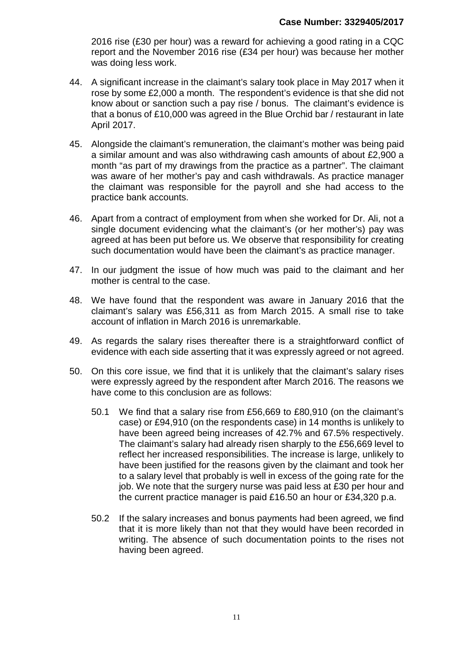2016 rise (£30 per hour) was a reward for achieving a good rating in a CQC report and the November 2016 rise (£34 per hour) was because her mother was doing less work.

- 44. A significant increase in the claimant's salary took place in May 2017 when it rose by some £2,000 a month. The respondent's evidence is that she did not know about or sanction such a pay rise / bonus. The claimant's evidence is that a bonus of £10,000 was agreed in the Blue Orchid bar / restaurant in late April 2017.
- 45. Alongside the claimant's remuneration, the claimant's mother was being paid a similar amount and was also withdrawing cash amounts of about £2,900 a month "as part of my drawings from the practice as a partner". The claimant was aware of her mother's pay and cash withdrawals. As practice manager the claimant was responsible for the payroll and she had access to the practice bank accounts.
- 46. Apart from a contract of employment from when she worked for Dr. Ali, not a single document evidencing what the claimant's (or her mother's) pay was agreed at has been put before us. We observe that responsibility for creating such documentation would have been the claimant's as practice manager.
- 47. In our judgment the issue of how much was paid to the claimant and her mother is central to the case.
- 48. We have found that the respondent was aware in January 2016 that the claimant's salary was £56,311 as from March 2015. A small rise to take account of inflation in March 2016 is unremarkable.
- 49. As regards the salary rises thereafter there is a straightforward conflict of evidence with each side asserting that it was expressly agreed or not agreed.
- 50. On this core issue, we find that it is unlikely that the claimant's salary rises were expressly agreed by the respondent after March 2016. The reasons we have come to this conclusion are as follows:
	- 50.1 We find that a salary rise from £56,669 to £80,910 (on the claimant's case) or £94,910 (on the respondents case) in 14 months is unlikely to have been agreed being increases of 42.7% and 67.5% respectively. The claimant's salary had already risen sharply to the £56,669 level to reflect her increased responsibilities. The increase is large, unlikely to have been justified for the reasons given by the claimant and took her to a salary level that probably is well in excess of the going rate for the job. We note that the surgery nurse was paid less at £30 per hour and the current practice manager is paid £16.50 an hour or £34,320 p.a.
	- 50.2 If the salary increases and bonus payments had been agreed, we find that it is more likely than not that they would have been recorded in writing. The absence of such documentation points to the rises not having been agreed.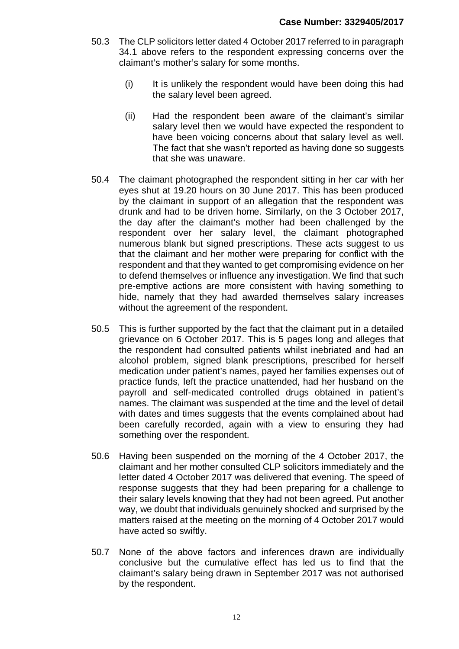- 50.3 The CLP solicitors letter dated 4 October 2017 referred to in paragraph 34.1 above refers to the respondent expressing concerns over the claimant's mother's salary for some months.
	- (i) It is unlikely the respondent would have been doing this had the salary level been agreed.
	- (ii) Had the respondent been aware of the claimant's similar salary level then we would have expected the respondent to have been voicing concerns about that salary level as well. The fact that she wasn't reported as having done so suggests that she was unaware.
- 50.4 The claimant photographed the respondent sitting in her car with her eyes shut at 19.20 hours on 30 June 2017. This has been produced by the claimant in support of an allegation that the respondent was drunk and had to be driven home. Similarly, on the 3 October 2017, the day after the claimant's mother had been challenged by the respondent over her salary level, the claimant photographed numerous blank but signed prescriptions. These acts suggest to us that the claimant and her mother were preparing for conflict with the respondent and that they wanted to get compromising evidence on her to defend themselves or influence any investigation. We find that such pre-emptive actions are more consistent with having something to hide, namely that they had awarded themselves salary increases without the agreement of the respondent.
- 50.5 This is further supported by the fact that the claimant put in a detailed grievance on 6 October 2017. This is 5 pages long and alleges that the respondent had consulted patients whilst inebriated and had an alcohol problem, signed blank prescriptions, prescribed for herself medication under patient's names, payed her families expenses out of practice funds, left the practice unattended, had her husband on the payroll and self-medicated controlled drugs obtained in patient's names. The claimant was suspended at the time and the level of detail with dates and times suggests that the events complained about had been carefully recorded, again with a view to ensuring they had something over the respondent.
- 50.6 Having been suspended on the morning of the 4 October 2017, the claimant and her mother consulted CLP solicitors immediately and the letter dated 4 October 2017 was delivered that evening. The speed of response suggests that they had been preparing for a challenge to their salary levels knowing that they had not been agreed. Put another way, we doubt that individuals genuinely shocked and surprised by the matters raised at the meeting on the morning of 4 October 2017 would have acted so swiftly.
- 50.7 None of the above factors and inferences drawn are individually conclusive but the cumulative effect has led us to find that the claimant's salary being drawn in September 2017 was not authorised by the respondent.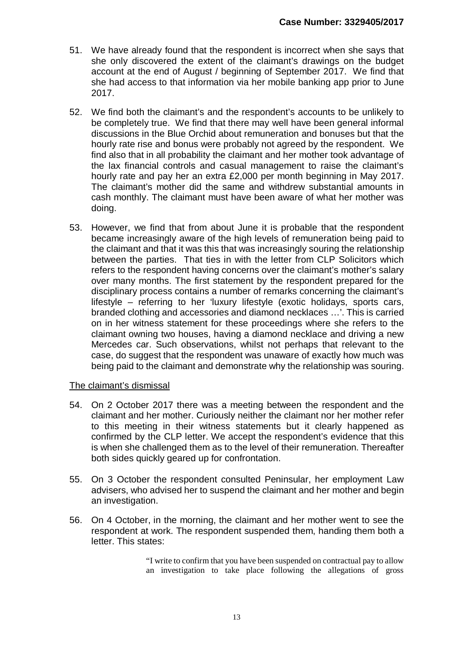- 51. We have already found that the respondent is incorrect when she says that she only discovered the extent of the claimant's drawings on the budget account at the end of August / beginning of September 2017. We find that she had access to that information via her mobile banking app prior to June 2017.
- 52. We find both the claimant's and the respondent's accounts to be unlikely to be completely true. We find that there may well have been general informal discussions in the Blue Orchid about remuneration and bonuses but that the hourly rate rise and bonus were probably not agreed by the respondent. We find also that in all probability the claimant and her mother took advantage of the lax financial controls and casual management to raise the claimant's hourly rate and pay her an extra £2,000 per month beginning in May 2017. The claimant's mother did the same and withdrew substantial amounts in cash monthly. The claimant must have been aware of what her mother was doing.
- 53. However, we find that from about June it is probable that the respondent became increasingly aware of the high levels of remuneration being paid to the claimant and that it was this that was increasingly souring the relationship between the parties. That ties in with the letter from CLP Solicitors which refers to the respondent having concerns over the claimant's mother's salary over many months. The first statement by the respondent prepared for the disciplinary process contains a number of remarks concerning the claimant's lifestyle – referring to her 'luxury lifestyle (exotic holidays, sports cars, branded clothing and accessories and diamond necklaces …'. This is carried on in her witness statement for these proceedings where she refers to the claimant owning two houses, having a diamond necklace and driving a new Mercedes car. Such observations, whilst not perhaps that relevant to the case, do suggest that the respondent was unaware of exactly how much was being paid to the claimant and demonstrate why the relationship was souring.

## The claimant's dismissal

- 54. On 2 October 2017 there was a meeting between the respondent and the claimant and her mother. Curiously neither the claimant nor her mother refer to this meeting in their witness statements but it clearly happened as confirmed by the CLP letter. We accept the respondent's evidence that this is when she challenged them as to the level of their remuneration. Thereafter both sides quickly geared up for confrontation.
- 55. On 3 October the respondent consulted Peninsular, her employment Law advisers, who advised her to suspend the claimant and her mother and begin an investigation.
- 56. On 4 October, in the morning, the claimant and her mother went to see the respondent at work. The respondent suspended them, handing them both a letter. This states:

"I write to confirm that you have been suspended on contractual pay to allow an investigation to take place following the allegations of gross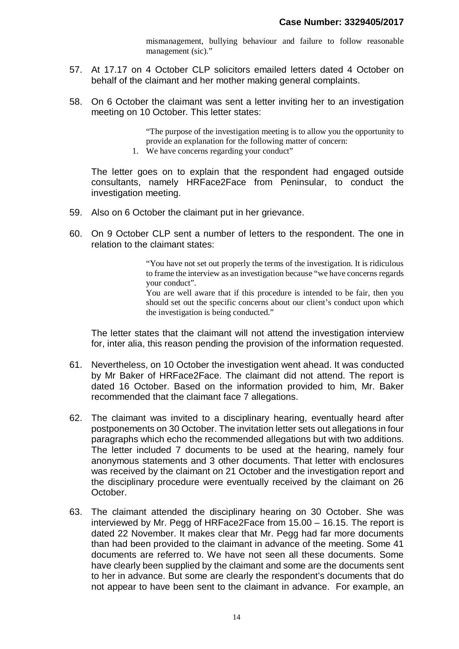mismanagement, bullying behaviour and failure to follow reasonable management (sic)."

- 57. At 17.17 on 4 October CLP solicitors emailed letters dated 4 October on behalf of the claimant and her mother making general complaints.
- 58. On 6 October the claimant was sent a letter inviting her to an investigation meeting on 10 October. This letter states:

"The purpose of the investigation meeting is to allow you the opportunity to provide an explanation for the following matter of concern:

1. We have concerns regarding your conduct"

The letter goes on to explain that the respondent had engaged outside consultants, namely HRFace2Face from Peninsular, to conduct the investigation meeting.

- 59. Also on 6 October the claimant put in her grievance.
- 60. On 9 October CLP sent a number of letters to the respondent. The one in relation to the claimant states:

"You have not set out properly the terms of the investigation. It is ridiculous to frame the interview as an investigation because "we have concerns regards your conduct".

You are well aware that if this procedure is intended to be fair, then you should set out the specific concerns about our client's conduct upon which the investigation is being conducted."

The letter states that the claimant will not attend the investigation interview for, inter alia, this reason pending the provision of the information requested.

- 61. Nevertheless, on 10 October the investigation went ahead. It was conducted by Mr Baker of HRFace2Face. The claimant did not attend. The report is dated 16 October. Based on the information provided to him, Mr. Baker recommended that the claimant face 7 allegations.
- 62. The claimant was invited to a disciplinary hearing, eventually heard after postponements on 30 October. The invitation letter sets out allegations in four paragraphs which echo the recommended allegations but with two additions. The letter included 7 documents to be used at the hearing, namely four anonymous statements and 3 other documents. That letter with enclosures was received by the claimant on 21 October and the investigation report and the disciplinary procedure were eventually received by the claimant on 26 October.
- 63. The claimant attended the disciplinary hearing on 30 October. She was interviewed by Mr. Pegg of HRFace2Face from 15.00 – 16.15. The report is dated 22 November. It makes clear that Mr. Pegg had far more documents than had been provided to the claimant in advance of the meeting. Some 41 documents are referred to. We have not seen all these documents. Some have clearly been supplied by the claimant and some are the documents sent to her in advance. But some are clearly the respondent's documents that do not appear to have been sent to the claimant in advance. For example, an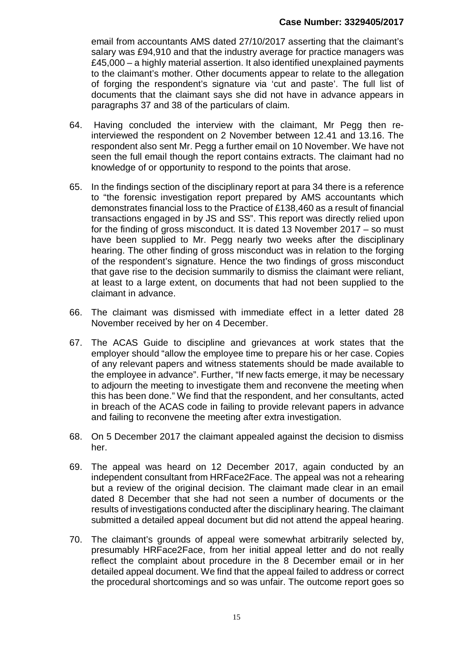email from accountants AMS dated 27/10/2017 asserting that the claimant's salary was £94,910 and that the industry average for practice managers was £45,000 – a highly material assertion. It also identified unexplained payments to the claimant's mother. Other documents appear to relate to the allegation of forging the respondent's signature via 'cut and paste'. The full list of documents that the claimant says she did not have in advance appears in paragraphs 37 and 38 of the particulars of claim.

- 64. Having concluded the interview with the claimant, Mr Pegg then reinterviewed the respondent on 2 November between 12.41 and 13.16. The respondent also sent Mr. Pegg a further email on 10 November. We have not seen the full email though the report contains extracts. The claimant had no knowledge of or opportunity to respond to the points that arose.
- 65. In the findings section of the disciplinary report at para 34 there is a reference to "the forensic investigation report prepared by AMS accountants which demonstrates financial loss to the Practice of £138,460 as a result of financial transactions engaged in by JS and SS". This report was directly relied upon for the finding of gross misconduct. It is dated 13 November 2017 – so must have been supplied to Mr. Pegg nearly two weeks after the disciplinary hearing. The other finding of gross misconduct was in relation to the forging of the respondent's signature. Hence the two findings of gross misconduct that gave rise to the decision summarily to dismiss the claimant were reliant, at least to a large extent, on documents that had not been supplied to the claimant in advance.
- 66. The claimant was dismissed with immediate effect in a letter dated 28 November received by her on 4 December.
- 67. The ACAS Guide to discipline and grievances at work states that the employer should "allow the employee time to prepare his or her case. Copies of any relevant papers and witness statements should be made available to the employee in advance". Further, "If new facts emerge, it may be necessary to adjourn the meeting to investigate them and reconvene the meeting when this has been done." We find that the respondent, and her consultants, acted in breach of the ACAS code in failing to provide relevant papers in advance and failing to reconvene the meeting after extra investigation.
- 68. On 5 December 2017 the claimant appealed against the decision to dismiss her.
- 69. The appeal was heard on 12 December 2017, again conducted by an independent consultant from HRFace2Face. The appeal was not a rehearing but a review of the original decision. The claimant made clear in an email dated 8 December that she had not seen a number of documents or the results of investigations conducted after the disciplinary hearing. The claimant submitted a detailed appeal document but did not attend the appeal hearing.
- 70. The claimant's grounds of appeal were somewhat arbitrarily selected by, presumably HRFace2Face, from her initial appeal letter and do not really reflect the complaint about procedure in the 8 December email or in her detailed appeal document. We find that the appeal failed to address or correct the procedural shortcomings and so was unfair. The outcome report goes so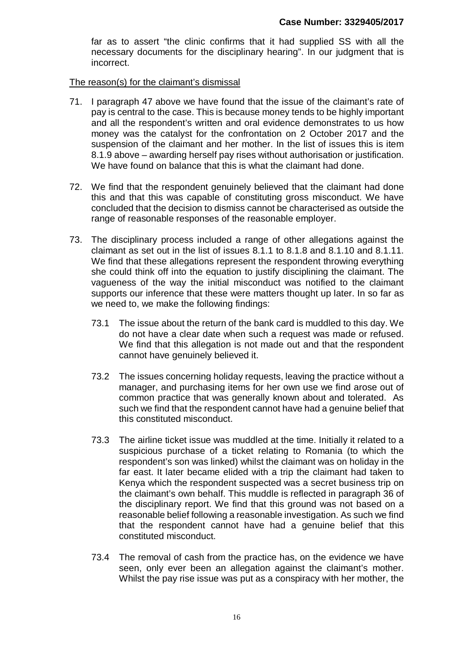far as to assert "the clinic confirms that it had supplied SS with all the necessary documents for the disciplinary hearing". In our judgment that is incorrect.

The reason(s) for the claimant's dismissal

- 71. I paragraph 47 above we have found that the issue of the claimant's rate of pay is central to the case. This is because money tends to be highly important and all the respondent's written and oral evidence demonstrates to us how money was the catalyst for the confrontation on 2 October 2017 and the suspension of the claimant and her mother. In the list of issues this is item 8.1.9 above – awarding herself pay rises without authorisation or justification. We have found on balance that this is what the claimant had done.
- 72. We find that the respondent genuinely believed that the claimant had done this and that this was capable of constituting gross misconduct. We have concluded that the decision to dismiss cannot be characterised as outside the range of reasonable responses of the reasonable employer.
- 73. The disciplinary process included a range of other allegations against the claimant as set out in the list of issues 8.1.1 to 8.1.8 and 8.1.10 and 8.1.11. We find that these allegations represent the respondent throwing everything she could think off into the equation to justify disciplining the claimant. The vagueness of the way the initial misconduct was notified to the claimant supports our inference that these were matters thought up later. In so far as we need to, we make the following findings:
	- 73.1 The issue about the return of the bank card is muddled to this day. We do not have a clear date when such a request was made or refused. We find that this allegation is not made out and that the respondent cannot have genuinely believed it.
	- 73.2 The issues concerning holiday requests, leaving the practice without a manager, and purchasing items for her own use we find arose out of common practice that was generally known about and tolerated. As such we find that the respondent cannot have had a genuine belief that this constituted misconduct.
	- 73.3 The airline ticket issue was muddled at the time. Initially it related to a suspicious purchase of a ticket relating to Romania (to which the respondent's son was linked) whilst the claimant was on holiday in the far east. It later became elided with a trip the claimant had taken to Kenya which the respondent suspected was a secret business trip on the claimant's own behalf. This muddle is reflected in paragraph 36 of the disciplinary report. We find that this ground was not based on a reasonable belief following a reasonable investigation. As such we find that the respondent cannot have had a genuine belief that this constituted misconduct.
	- 73.4 The removal of cash from the practice has, on the evidence we have seen, only ever been an allegation against the claimant's mother. Whilst the pay rise issue was put as a conspiracy with her mother, the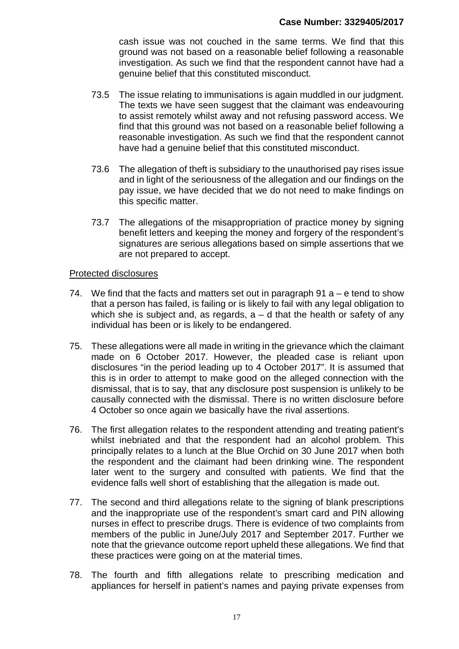cash issue was not couched in the same terms. We find that this ground was not based on a reasonable belief following a reasonable investigation. As such we find that the respondent cannot have had a genuine belief that this constituted misconduct.

- 73.5 The issue relating to immunisations is again muddled in our judgment. The texts we have seen suggest that the claimant was endeavouring to assist remotely whilst away and not refusing password access. We find that this ground was not based on a reasonable belief following a reasonable investigation. As such we find that the respondent cannot have had a genuine belief that this constituted misconduct.
- 73.6 The allegation of theft is subsidiary to the unauthorised pay rises issue and in light of the seriousness of the allegation and our findings on the pay issue, we have decided that we do not need to make findings on this specific matter.
- 73.7 The allegations of the misappropriation of practice money by signing benefit letters and keeping the money and forgery of the respondent's signatures are serious allegations based on simple assertions that we are not prepared to accept.

## Protected disclosures

- 74. We find that the facts and matters set out in paragraph 91  $a e$  tend to show that a person has failed, is failing or is likely to fail with any legal obligation to which she is subject and, as regards,  $a - d$  that the health or safety of any individual has been or is likely to be endangered.
- 75. These allegations were all made in writing in the grievance which the claimant made on 6 October 2017. However, the pleaded case is reliant upon disclosures "in the period leading up to 4 October 2017". It is assumed that this is in order to attempt to make good on the alleged connection with the dismissal, that is to say, that any disclosure post suspension is unlikely to be causally connected with the dismissal. There is no written disclosure before 4 October so once again we basically have the rival assertions.
- 76. The first allegation relates to the respondent attending and treating patient's whilst inebriated and that the respondent had an alcohol problem. This principally relates to a lunch at the Blue Orchid on 30 June 2017 when both the respondent and the claimant had been drinking wine. The respondent later went to the surgery and consulted with patients. We find that the evidence falls well short of establishing that the allegation is made out.
- 77. The second and third allegations relate to the signing of blank prescriptions and the inappropriate use of the respondent's smart card and PIN allowing nurses in effect to prescribe drugs. There is evidence of two complaints from members of the public in June/July 2017 and September 2017. Further we note that the grievance outcome report upheld these allegations. We find that these practices were going on at the material times.
- 78. The fourth and fifth allegations relate to prescribing medication and appliances for herself in patient's names and paying private expenses from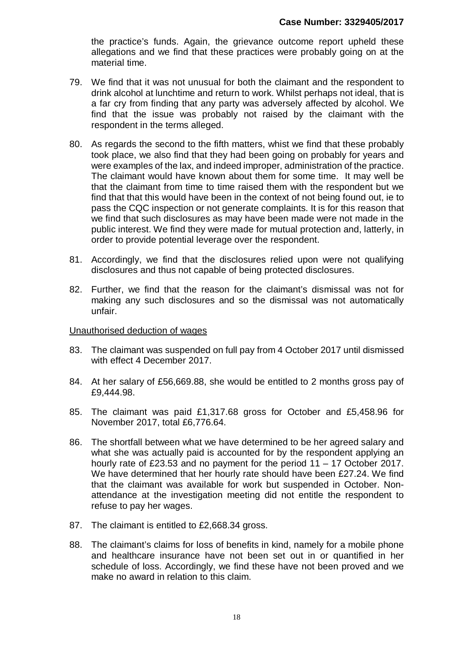the practice's funds. Again, the grievance outcome report upheld these allegations and we find that these practices were probably going on at the material time.

- 79. We find that it was not unusual for both the claimant and the respondent to drink alcohol at lunchtime and return to work. Whilst perhaps not ideal, that is a far cry from finding that any party was adversely affected by alcohol. We find that the issue was probably not raised by the claimant with the respondent in the terms alleged.
- 80. As regards the second to the fifth matters, whist we find that these probably took place, we also find that they had been going on probably for years and were examples of the lax, and indeed improper, administration of the practice. The claimant would have known about them for some time. It may well be that the claimant from time to time raised them with the respondent but we find that that this would have been in the context of not being found out, ie to pass the CQC inspection or not generate complaints. It is for this reason that we find that such disclosures as may have been made were not made in the public interest. We find they were made for mutual protection and, latterly, in order to provide potential leverage over the respondent.
- 81. Accordingly, we find that the disclosures relied upon were not qualifying disclosures and thus not capable of being protected disclosures.
- 82. Further, we find that the reason for the claimant's dismissal was not for making any such disclosures and so the dismissal was not automatically unfair.

#### Unauthorised deduction of wages

- 83. The claimant was suspended on full pay from 4 October 2017 until dismissed with effect 4 December 2017.
- 84. At her salary of £56,669.88, she would be entitled to 2 months gross pay of £9,444.98.
- 85. The claimant was paid £1,317.68 gross for October and £5,458.96 for November 2017, total £6,776.64.
- 86. The shortfall between what we have determined to be her agreed salary and what she was actually paid is accounted for by the respondent applying an hourly rate of £23.53 and no payment for the period 11 – 17 October 2017. We have determined that her hourly rate should have been £27.24. We find that the claimant was available for work but suspended in October. Nonattendance at the investigation meeting did not entitle the respondent to refuse to pay her wages.
- 87. The claimant is entitled to £2,668.34 gross.
- 88. The claimant's claims for loss of benefits in kind, namely for a mobile phone and healthcare insurance have not been set out in or quantified in her schedule of loss. Accordingly, we find these have not been proved and we make no award in relation to this claim.